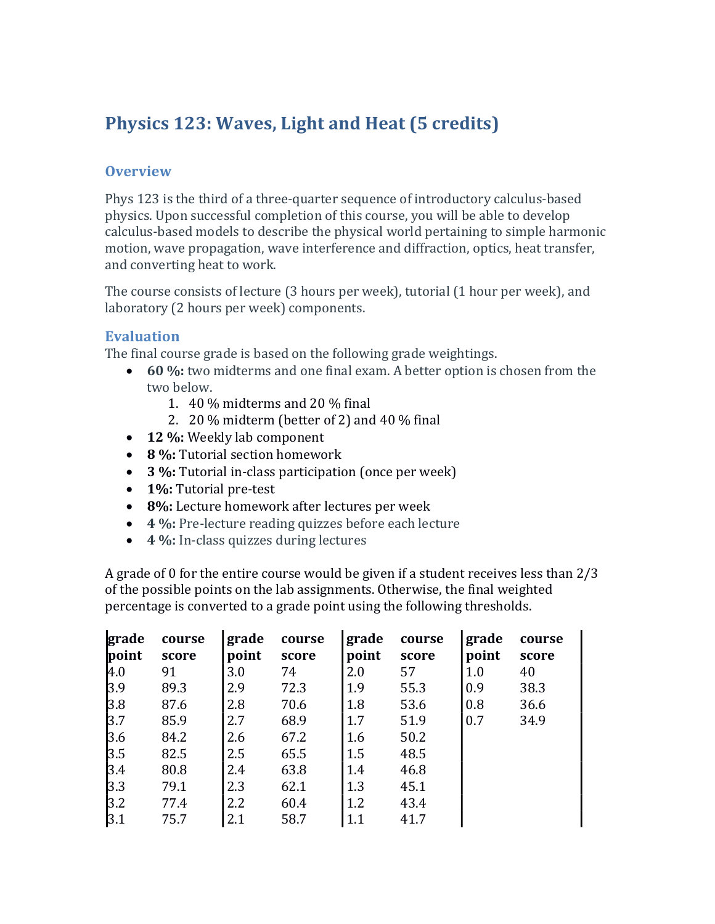# Physics 123: Waves, Light and Heat (5 credits)

# **Overview**

Phys 123 is the third of a three-quarter sequence of introductory calculus-based physics. Upon successful completion of this course, you will be able to develop calculus-based models to describe the physical world pertaining to simple harmonic motion, wave propagation, wave interference and diffraction, optics, heat transfer, and converting heat to work.

The course consists of lecture (3 hours per week), tutorial (1 hour per week), and laboratory (2 hours per week) components.

## Evaluation

The final course grade is based on the following grade weightings.

- 60 %: two midterms and one final exam. A better option is chosen from the two below.
	- 1. 40 % midterms and 20 % final
	- 2. 20 % midterm (better of 2) and 40 % final
- 12 %: Weekly lab component
- 8 %: Tutorial section homework
- 3 %: Tutorial in-class participation (once per week)
- 1%: Tutorial pre-test
- 8%: Lecture homework after lectures per week
- 4 %: Pre-lecture reading quizzes before each lecture
- 4 %: In-class quizzes during lectures

A grade of 0 for the entire course would be given if a student receives less than 2/3 of the possible points on the lab assignments. Otherwise, the final weighted percentage is converted to a grade point using the following thresholds.

| grade<br>point | course<br>score | grade<br>point | course<br>score | grade<br>point | course<br>score | grade<br>point | course<br>score |
|----------------|-----------------|----------------|-----------------|----------------|-----------------|----------------|-----------------|
| 4.0            | 91              | 3.0            | 74              | 2.0            | 57              | 1.0            | 40              |
| 3.9            | 89.3            | 2.9            | 72.3            | 1.9            | 55.3            | 0.9            | 38.3            |
| 3.8            | 87.6            | 2.8            | 70.6            | 1.8            | 53.6            | 0.8            | 36.6            |
| 3.7            | 85.9            | 2.7            | 68.9            | 1.7            | 51.9            | 0.7            | 34.9            |
| 3.6            | 84.2            | 2.6            | 67.2            | 1.6            | 50.2            |                |                 |
| 3.5            | 82.5            | 2.5            | 65.5            | 1.5            | 48.5            |                |                 |
| 3.4            | 80.8            | 2.4            | 63.8            | 1.4            | 46.8            |                |                 |
| 3.3            | 79.1            | 2.3            | 62.1            | 1.3            | 45.1            |                |                 |
| 3.2            | 77.4            | 2.2            | 60.4            | 1.2            | 43.4            |                |                 |
| 3.1            | 75.7            | 2.1            | 58.7            | 1.1            | 41.7            |                |                 |